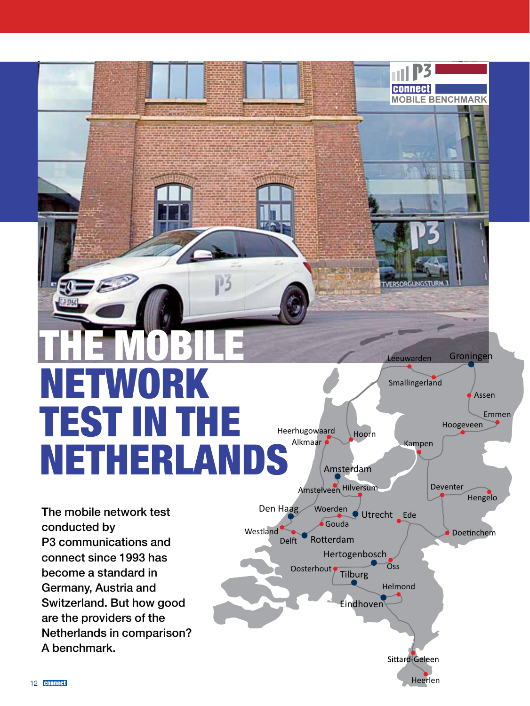# The Mobile Network Test in The Netherlands

Amsterdam

Eindhoven

Hertogenbosch

Oosterhout Tilburg

Gouda Woerden

Rotterdam

Amstelveen Hilversum

Den Haag

Delft

Westland

Alkmaar

Heerhugowaard Hoorn

Utrecht Ede

**Oss** 

Helmond

Leeuwarden

Smallingerland

**MOBILE BENCHMARK**

**connect** 

Kampen

Heerlen

Sittard-Geleen

Groningen

Hoogeveen

Deventer

Emmen

Assen

Hengelo

Doetinchem

The mobile network test conducted by P3 communications and connect since 1993 has become a standard in Germany, Austria and Switzerland. But how good are the providers of the Netherlands in comparison? A benchmark.

50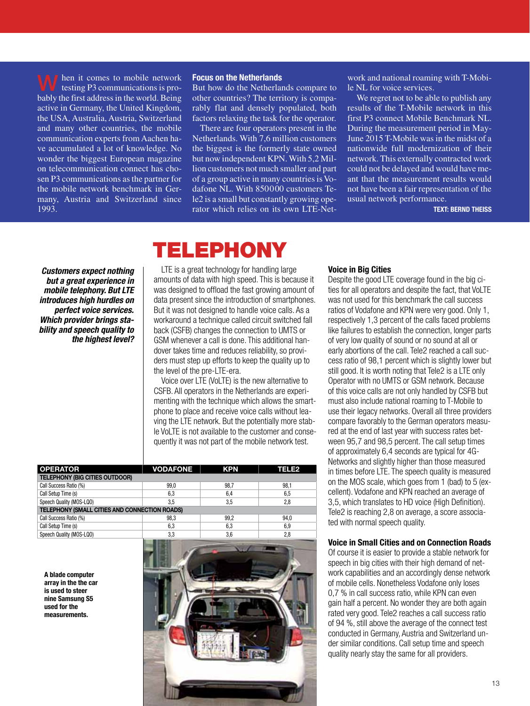hen it comes to mobile network testing P3 communications is probably the first address in the world. Being active in Germany, the United Kingdom, the USA, Australia, Austria, Switzerland and many other countries, the mobile communication experts from Aachen have accumulated a lot of knowledge. No wonder the biggest European magazine on telecommunication connect has chosen P3 communications as the partner for the mobile network benchmark in Germany, Austria and Switzerland since 1993. W

#### Focus on the Netherlands

But how do the Netherlands compare to other countries? The territory is comparably flat and densely populated, both factors relaxing the task for the operator.

There are four operators present in the Netherlands. With 7,6 million customers the biggest is the formerly state owned but now independent KPN. With 5,2 Million customers not much smaller and part of a group active in many countries is Vodafone NL. With 850000 customers Tele2 is a small but constantly growing operator which relies on its own LTE-Net-

work and national roaming with T-Mobile NL for voice services.

We regret not to be able to publish any results of the T-Mobile network in this first P3 connect Mobile Benchmark NL. During the measurement period in May-June 2015 T-Mobile was in the midst of a nationwide full modernization of their network. This externally contracted work could not be delayed and would have meant that the measurement results would not have been a fair representation of the usual network performance.

Text: Bernd Theiss

*Customers expect nothing but a great experience in mobile telephony. But LTE introduces high hurdles on perfect voice services. Which provider brings stability and speech quality to the highest level?*

# Telephony

LTE is a great technology for handling large amounts of data with high speed. This is because it was designed to offload the fast growing amount of data present since the introduction of smartphones. But it was not designed to handle voice calls. As a workaround a technique called circuit switched fall back (CSFB) changes the connection to UMTS or GSM whenever a call is done. This additional handover takes time and reduces reliability, so providers must step up efforts to keep the quality up to the level of the pre-LTE-era.

Voice over LTE (VoLTE) is the new alternative to CSFB. All operators in the Netherlands are experimenting with the technique which allows the smartphone to place and receive voice calls without leaving the LTE network. But the potentially more stable VoLTE is not available to the customer and consequently it was not part of the mobile network test.

| <b>OPERATOR</b>                               | <b>VODAFONE</b> | <b>KPN</b> | <b>TELE2</b> |
|-----------------------------------------------|-----------------|------------|--------------|
| <b>TELEPHONY (BIG CITIES OUTDOOR)</b>         |                 |            |              |
| Call Success Ratio (%)                        | 99.0            | 98.7       | 98,1         |
| Call Setup Time (s)                           | 6,3             | 6.4        | 6,5          |
| Speech Quality (MOS-LQO)                      | 3.5             | 3.5        | 2.8          |
| TELEPHONY (SMALL CITIES AND CONNECTION ROADS) |                 |            |              |
| Call Success Ratio (%)                        | 98,3            | 99.2       | 94.0         |
| Call Setup Time (s)                           | 6,3             | 6,3        | 6,9          |
| Speech Quality (MOS-LQO)                      | 3,3             | 3,6        | 2,8          |

A blade computer array in the the car is used to steer nine Samsung S5 used for the measurements.



### Voice in Big Cities

Despite the good LTE coverage found in the big cities for all operators and despite the fact, that VoLTE was not used for this benchmark the call success ratios of Vodafone and KPN were very good. Only 1, respectively 1,3 percent of the calls faced problems like failures to establish the connection, longer parts of very low quality of sound or no sound at all or early abortions of the call. Tele2 reached a call success ratio of 98,1 percent which is slightly lower but still good. It is worth noting that Tele2 is a LTE only Operator with no UMTS or GSM network. Because of this voice calls are not only handled by CSFB but must also include national roaming to T-Mobile to use their legacy networks. Overall all three providers compare favorably to the German operators measured at the end of last year with success rates between 95,7 and 98,5 percent. The call setup times of approximately 6,4 seconds are typical for 4G-Networks and slightly higher than those measured in times before LTE. The speech quality is measured on the MOS scale, which goes from 1 (bad) to 5 (excellent). Vodafone and KPN reached an average of 3,5, which translates to HD voice (High Definition). Tele2 is reaching 2,8 on average, a score associated with normal speech quality.

### Voice in Small Cities and on Connection Roads

Of course it is easier to provide a stable network for speech in big cities with their high demand of network capabilities and an accordingly dense network of mobile cells. Nonetheless Vodafone only loses 0,7 % in call success ratio, while KPN can even gain half a percent. No wonder they are both again rated very good. Tele2 reaches a call success ratio of 94 %, still above the average of the connect test conducted in Germany, Austria and Switzerland under similar conditions. Call setup time and speech quality nearly stay the same for all providers.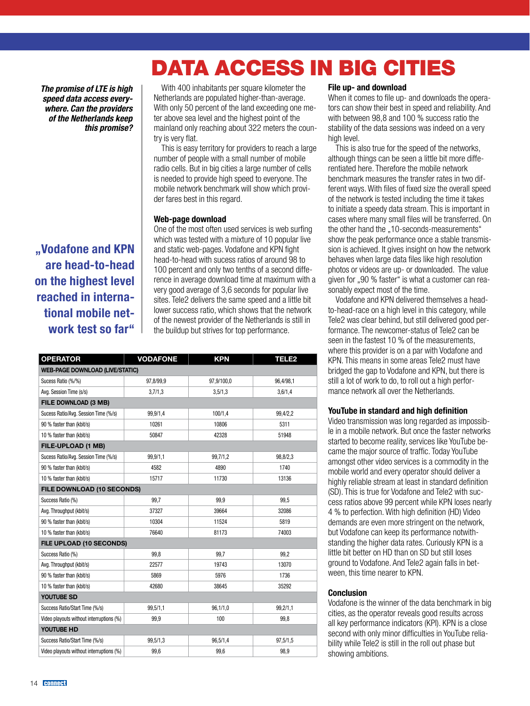### *The promise of LTE is high speed data access everywhere. Can the providers of the Netherlands keep this promise?*

"Vodafone and KPN are head-to-head on the highest level reached in international mobile network test so far"

With 400 inhabitants per square kilometer the Netherlands are populated higher-than-average. With only 50 percent of the land exceeding one meter above sea level and the highest point of the mainland only reaching about 322 meters the country is very flat.

This is easy territory for providers to reach a large number of people with a small number of mobile radio cells. But in big cities a large number of cells is needed to provide high speed to everyone. The mobile network benchmark will show which provider fares best in this regard.

### Web-page download

One of the most often used services is web surfing which was tested with a mixture of 10 popular live and static web-pages. Vodafone and KPN fight head-to-head with sucess ratios of around 98 to 100 percent and only two tenths of a second difference in average download time at maximum with a very good average of 3,6 seconds for popular live sites. Tele2 delivers the same speed and a little bit lower success ratio, which shows that the network of the newest provider of the Netherlands is still in the buildup but strives for top performance.

| <b>OPERATOR</b>                          | <b>VODAFONE</b> | <b>KPN</b> | <b>TELE2</b> |
|------------------------------------------|-----------------|------------|--------------|
| <b>WEB-PAGE DOWNLOAD (LIVE/STATIC)</b>   |                 |            |              |
| Sucess Ratio (%/%)                       | 97,8/99,9       | 97,9/100,0 | 96,4/98,1    |
| Avg. Session Time (s/s)                  | 3,7/1,3         | 3,5/1,3    | 3,6/1,4      |
| FILE DOWNLOAD (3 MB)                     |                 |            |              |
| Sucess Ratio/Avg. Session Time (%/s)     | 99,9/1,4        | 100/1.4    | 99,4/2,2     |
| 90 % faster than (kbit/s)                | 10261           | 10806      | 5311         |
| 10 % faster than (kbit/s)                | 50847           | 42328      | 51948        |
| <b>FILE-UPLOAD (1 MB)</b>                |                 |            |              |
| Sucess Ratio/Avg. Session Time (%/s)     | 99,9/1,1        | 99,7/1,2   | 98,8/2,3     |
| 90 % faster than (kbit/s)                | 4582            | 4890       | 1740         |
| 10 % faster than (kbit/s)                | 15717           | 11730      | 13136        |
| <b>FILE DOWNLOAD (10 SECONDS)</b>        |                 |            |              |
| Success Ratio (%)                        | 99,7            | 99,9       | 99,5         |
| Avg. Throughput (kbit/s)                 | 37327           | 39664      | 32086        |
| 90 % faster than (kbit/s)                | 10304           | 11524      | 5819         |
| 10 % faster than (kbit/s)                | 76640           | 81173      | 74003        |
| FILE UPLOAD (10 SECONDS)                 |                 |            |              |
| Success Ratio (%)                        | 99.8            | 99,7       | 99.2         |
| Avg. Throughput (kbit/s)                 | 22577           | 19743      | 13070        |
| 90 % faster than (kbit/s)                | 5869            | 5976       | 1736         |
| 10 % faster than (kbit/s)                | 42680           | 38645      | 35292        |
| <b>YOUTUBE SD</b>                        |                 |            |              |
| Success Ratio/Start Time (%/s)           | 99,5/1,1        | 96, 1/1, 0 | 99,2/1,1     |
| Video playouts without interruptions (%) | 99,9            | 100        | 99,8         |
| YOUTUBE HD                               |                 |            |              |
| Success Ratio/Start Time (%/s)           | 99,5/1,3        | 96,5/1,4   | 97,5/1,5     |
| Video playouts without interruptions (%) | 99,6            | 99,6       | 98,9         |

### File up- and download

Data Access in big Cities

When it comes to file up- and downloads the operators can show their best in speed and reliability. And with between 98,8 and 100 % success ratio the stability of the data sessions was indeed on a very high level.

This is also true for the speed of the networks, although things can be seen a little bit more differentiated here. Therefore the mobile network benchmark measures the transfer rates in two different ways. With files of fixed size the overall speed of the network is tested including the time it takes to initiate a speedy data stream. This is important in cases where many small files will be transferred. On the other hand the ..10-seconds-measurements" show the peak performance once a stable transmission is achieved. It gives insight on how the network behaves when large data files like high resolution photos or videos are up- or downloaded. The value given for "90 % faster" is what a customer can reasonably expect most of the time.

Vodafone and KPN delivered themselves a headto-head-race on a high level in this category, while Tele2 was clear behind, but still delivered good performance. The newcomer-status of Tele2 can be seen in the fastest 10 % of the measurements, where this provider is on a par with Vodafone and KPN. This means in some areas Tele2 must have bridged the gap to Vodafone and KPN, but there is still a lot of work to do, to roll out a high performance network all over the Netherlands.

### YouTube in standard and high definition

Video transmission was long regarded as impossible in a mobile network. But once the faster networks started to become reality, services like YouTube became the major source of traffic. Today YouTube amongst other video services is a commodity in the mobile world and every operator should deliver a highly reliable stream at least in standard definition (SD). This is true for Vodafone and Tele2 with success ratios above 99 percent while KPN loses nearly 4 % to perfection. With high definition (HD) Video demands are even more stringent on the network, but Vodafone can keep its performance notwithstanding the higher data rates. Curiously KPN is a little bit better on HD than on SD but still loses ground to Vodafone. And Tele2 again falls in between, this time nearer to KPN.

### Conclusion

Vodafone is the winner of the data benchmark in big cities, as the operator reveals good results across all key performance indicators (KPI). KPN is a close second with only minor difficulties in YouTube reliability while Tele2 is still in the roll out phase but showing ambitions.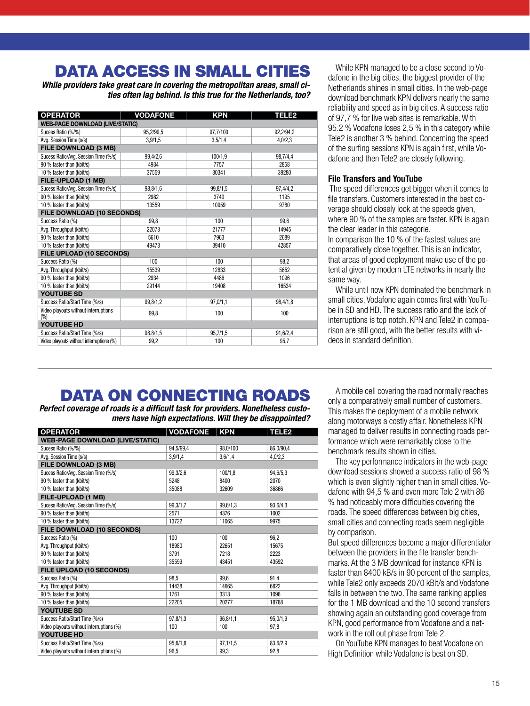### Data Access in small Cities

*While providers take great care in covering the metropolitan areas, small cities often lag behind. Is this true for the Netherlands, too?* 

| <b>OPERATOR</b>                             | <b>VODAFONE</b> | <b>KPN</b> | <b>TELE2</b> |
|---------------------------------------------|-----------------|------------|--------------|
| <b>WEB-PAGE DOWNLOAD (LIVE/STATIC)</b>      |                 |            |              |
| Sucess Ratio (%/%)                          | 95,2/99,5       | 97,7/100   | 92,2/94,2    |
| Avg. Session Time (s/s)                     | 3,9/1,5         | 3,5/1,4    | 4,0/2,3      |
| <b>FILE DOWNLOAD (3 MB)</b>                 |                 |            |              |
| Sucess Ratio/Avg. Session Time (%/s)        | 99,4/2,6        | 100/1.9    | 98,7/4,4     |
| 90 % faster than (kbit/s)                   | 4934            | 7757       | 2858         |
| 10 % faster than (kbit/s)                   | 37559           | 30341      | 39280        |
| FILE-UPLOAD (1 MB)                          |                 |            |              |
| Sucess Ratio/Avg. Session Time (%/s)        | 98,8/1,6        | 99,8/1,5   | 97,4/4,2     |
| 90 % faster than (kbit/s)                   | 2982            | 3740       | 1195         |
| 10 % faster than (kbit/s)                   | 13559           | 10959      | 9780         |
| FILE DOWNLOAD (10 SECONDS)                  |                 |            |              |
| Success Ratio (%)                           | 99.8            | 100        | 99.6         |
| Avg. Throughput (kbit/s)                    | 22073           | 21777      | 14945        |
| 90 % faster than (kbit/s)                   | 5610            | 7963       | 2689         |
| 10 % faster than (kbit/s)                   | 49473           | 39410      | 42857        |
| FILE UPLOAD (10 SECONDS)                    |                 |            |              |
| Success Ratio (%)                           | 100             | 100        | 98.2         |
| Avg. Throughput (kbit/s)                    | 15539           | 12833      | 5652         |
| 90 % faster than (kbit/s)                   | 2934            | 4486       | 1096         |
| 10 % faster than (kbit/s)                   | 29144           | 19408      | 16534        |
| <b>YOUTUBE SD</b>                           |                 |            |              |
| Success Ratio/Start Time (%/s)              | 99,8/1,2        | 97,0/1,1   | 98,4/1,8     |
| Video playouts without interruptions<br>(%) | 99.8            | 100        | 100          |
| YOUTUBE HD                                  |                 |            |              |
| Success Ratio/Start Time (%/s)              | 98,8/1,5        | 95,7/1,5   | 91,6/2,4     |
| Video playouts without interruptions (%)    | 99,2            | 100        | 95,7         |

While KPN managed to be a close second to Vodafone in the big cities, the biggest provider of the Netherlands shines in small cities. In the web-page download benchmark KPN delivers nearly the same reliability and speed as in big cities. A success ratio of 97,7 % for live web sites is remarkable. With 95.2 % Vodafone loses 2,5 % in this category while Tele2 is another 3 % behind. Concerning the speed of the surfing sessions KPN is again first, while Vodafone and then Tele2 are closely following.

### File Transfers and YouTube

 The speed differences get bigger when it comes to file transfers. Customers interested in the best coverage should closely look at the speeds given, where 90 % of the samples are faster. KPN is again the clear leader in this categorie.

In comparison the 10 % of the fastest values are comparatively close together. This is an indicator, that areas of good deployment make use of the potential given by modern LTE networks in nearly the same way.

While until now KPN dominated the benchmark in small cities, Vodafone again comes first with YouTube in SD and HD. The success ratio and the lack of interruptions is top notch. KPN and Tele2 in comparison are still good, with the better results with videos in standard definition.

### Data ON Connecting Roads

*Perfect coverage of roads is a difficult task for providers. Nonetheless customers have high expectations. Will they be disappointed?*

| <b>OPERATOR</b>                          | <b>VODAFONE</b> | <b>KPN</b> | <b>TELE2</b> |
|------------------------------------------|-----------------|------------|--------------|
| <b>WEB-PAGE DOWNLOAD (LIVE/STATIC)</b>   |                 |            |              |
| Sucess Ratio (%/%)                       | 94,5/99,4       | 98,0/100   | 86,0/90,4    |
| Avg. Session Time (s/s)                  | 3,9/1,4         | 3,6/1,4    | 4,0/2,3      |
| <b>FILE DOWNLOAD (3 MB)</b>              |                 |            |              |
| Sucess Ratio/Avg. Session Time (%/s)     | 99,3/2,6        | 100/1.8    | 94,6/5,3     |
| 90 % faster than (kbit/s)                | 5248            | 8400       | 2070         |
| 10 % faster than (kbit/s)                | 35088           | 32609      | 36866        |
| <b>FILE-UPLOAD (1 MB)</b>                |                 |            |              |
| Sucess Ratio/Avg. Session Time (%/s)     | 99.3/1.7        | 99,6/1,3   | 93,6/4,3     |
| 90 % faster than (kbit/s)                | 2571            | 4376       | 1002         |
| 10 % faster than (kbit/s)                | 13722           | 11065      | 9975         |
| FILE DOWNLOAD (10 SECONDS)               |                 |            |              |
| Success Ratio (%)                        | 100             | 100        | 96,2         |
| Avg. Throughput (kbit/s)                 | 18980           | 22651      | 15675        |
| 90 % faster than (kbit/s)                | 3791            | 7218       | 2223         |
| 10 % faster than (kbit/s)                | 35599           | 43451      | 43592        |
| FILE UPLOAD (10 SECONDS)                 |                 |            |              |
| Success Ratio (%)                        | 98.5            | 99.6       | 91,4         |
| Avg. Throughput (kbit/s)                 | 14438           | 14665      | 6822         |
| 90 % faster than (kbit/s)                | 1761            | 3313       | 1096         |
| 10 % faster than (kbit/s)                | 22205           | 20277      | 18788        |
| <b>YOUTUBE SD</b>                        |                 |            |              |
| Success Ratio/Start Time (%/s)           | 97,8/1,3        | 96,8/1,1   | 95,0/1,9     |
| Video playouts without interruptions (%) | 100             | 100        | 97,8         |
| <b>YOUTUBE HD</b>                        |                 |            |              |
| Success Ratio/Start Time (%/s)           | 95.6/1.8        | 97,1/1,5   | 83,6/2,9     |
| Video playouts without interruptions (%) | 96,5            | 99,3       | 92,8         |

A mobile cell covering the road normally reaches only a comparatively small number of customers. This makes the deployment of a mobile network along motorways a costly affair. Nonetheless KPN managed to deliver results in connecting roads performance which were remarkably close to the benchmark results shown in cities.

The key performance indicators in the web-page download sessions showed a success ratio of 98 % which is even slightly higher than in small cities. Vodafone with 94,5 % and even more Tele 2 with 86 % had noticeably more difficulties covering the roads. The speed differences between big cities, small cities and connecting roads seem negligible by comparison.

But speed differences become a major differentiator between the providers in the file transfer benchmarks. At the 3 MB download for instance KPN is faster than 8400 kB/s in 90 percent of the samples, while Tele2 only exceeds 2070 kBit/s and Vodafone falls in between the two. The same ranking applies for the 1 MB download and the 10 second transfers showing again an outstanding good coverage from KPN, good performance from Vodafone and a network in the roll out phase from Tele 2.

On YouTube KPN manages to beat Vodafone on High Definition while Vodafone is best on SD.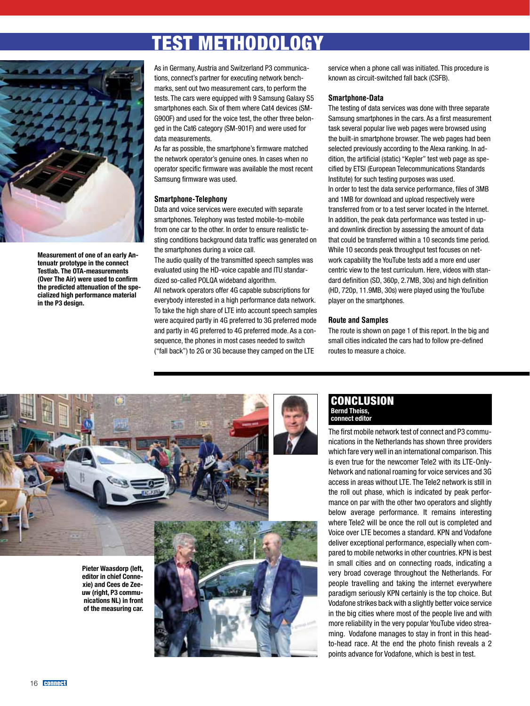## test Methodology



Measurement of one of an early Antenuatr prototype in the connect Testlab. The OTA-measurements (Over The Air) were used to confirm the predicted attenuation of the specialized high performance material in the P3 design.

As in Germany, Austria and Switzerland P3 communications, connect's partner for executing network benchmarks, sent out two measurement cars, to perform the tests. The cars were equipped with 9 Samsung Galaxy S5 smartphones each. Six of them where Cat4 devices (SM-G900F) and used for the voice test, the other three belonged in the Cat6 category (SM-901F) and were used for data measurements.

As far as possible, the smartphone's firmware matched the network operator's genuine ones. In cases when no operator specific firmware was available the most recent Samsung firmware was used.

### Smartphone-Telephony

Data and voice services were executed with separate smartphones. Telephony was tested mobile-to-mobile from one car to the other. In order to ensure realistic testing conditions background data traffic was generated on the smartphones during a voice call.

The audio quality of the transmitted speech samples was evaluated using the HD-voice capable and ITU standardized so-called POLQA wideband algorithm.

All network operators offer 4G capable subscriptions for everybody interested in a high performance data network. To take the high share of LTE into account speech samples were acquired partly in 4G preferred to 3G preferred mode and partly in 4G preferred to 4G preferred mode. As a consequence, the phones in most cases needed to switch ("fall back") to 2G or 3G because they camped on the LTE

service when a phone call was initiated. This procedure is known as circuit-switched fall back (CSFB).

### Smartphone-Data

The testing of data services was done with three separate Samsung smartphones in the cars. As a first measurement task several popular live web pages were browsed using the built-in smartphone browser. The web pages had been selected previously according to the Alexa ranking. In addition, the artificial (static) "Kepler" test web page as specified by ETSI (European Telecommunications Standards Institute) for such testing purposes was used. In order to test the data service performance, files of 3MB and 1MB for download and upload respectively were transferred from or to a test server located in the Internet. In addition, the peak data performance was tested in upand downlink direction by assessing the amount of data that could be transferred within a 10 seconds time period. While 10 seconds peak throughput test focuses on network capability the YouTube tests add a more end user centric view to the test curriculum. Here, videos with standard definition (SD, 360p, 2.7MB, 30s) and high definition (HD, 720p, 11.9MB, 30s) were played using the YouTube player on the smartphones.

### Route and Samples

The route is shown on page 1 of this report. In the big and small cities indicated the cars had to follow pre-defined routes to measure a choice.



#### **CONCLUSION** Bernd Theiss, connect editor

The first mobile network test of connect and P3 communications in the Netherlands has shown three providers which fare very well in an international comparison. This is even true for the newcomer Tele2 with its LTE-Only-Network and national roaming for voice services and 3G access in areas without LTE. The Tele2 network is still in the roll out phase, which is indicated by peak performance on par with the other two operators and slightly below average performance. It remains interesting where Tele2 will be once the roll out is completed and Voice over LTE becomes a standard. KPN and Vodafone deliver exceptional performance, especially when compared to mobile networks in other countries. KPN is best in small cities and on connecting roads, indicating a very broad coverage throughout the Netherlands. For people travelling and taking the internet everywhere paradigm seriously KPN certainly is the top choice. But Vodafone strikes back with a slightly better voice service in the big cities where most of the people live and with more reliability in the very popular YouTube video streaming. Vodafone manages to stay in front in this headto-head race. At the end the photo finish reveals a 2 points advance for Vodafone, which is best in test.